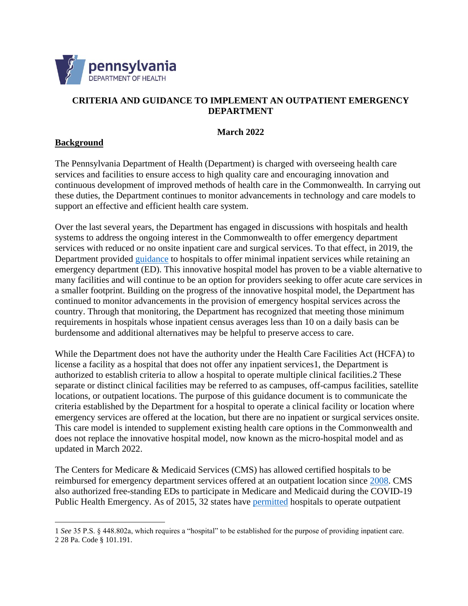

## **CRITERIA AND GUIDANCE TO IMPLEMENT AN OUTPATIENT EMERGENCY DEPARTMENT**

#### **March 2022**

### **Background**

The Pennsylvania Department of Health (Department) is charged with overseeing health care services and facilities to ensure access to high quality care and encouraging innovation and continuous development of improved methods of health care in the Commonwealth. In carrying out these duties, the Department continues to monitor advancements in technology and care models to support an effective and efficient health care system.

Over the last several years, the Department has engaged in discussions with hospitals and health systems to address the ongoing interest in the Commonwealth to offer emergency department services with reduced or no onsite inpatient care and surgical services. To that effect, in 2019, the Department provided [guidance](https://www.health.pa.gov/topics/Documents/Facilities%20and%20Licensing/Innovative%20Model%20Hospital%20Guidance%208.05.19.pdf) to hospitals to offer minimal inpatient services while retaining an emergency department (ED). This innovative hospital model has proven to be a viable alternative to many facilities and will continue to be an option for providers seeking to offer acute care services in a smaller footprint. Building on the progress of the innovative hospital model, the Department has continued to monitor advancements in the provision of emergency hospital services across the country. Through that monitoring, the Department has recognized that meeting those minimum requirements in hospitals whose inpatient census averages less than 10 on a daily basis can be burdensome and additional alternatives may be helpful to preserve access to care.

While the Department does not have the authority under the Health Care Facilities Act (HCFA) to license a facility as a hospital that does not offer any inpatient services1, the Department is authorized to establish criteria to allow a hospital to operate multiple clinical facilities.2 These separate or distinct clinical facilities may be referred to as campuses, off-campus facilities, satellite locations, or outpatient locations. The purpose of this guidance document is to communicate the criteria established by the Department for a hospital to operate a clinical facility or location where emergency services are offered at the location, but there are no inpatient or surgical services onsite. This care model is intended to supplement existing health care options in the Commonwealth and does not replace the innovative hospital model, now known as the micro-hospital model and as updated in March 2022.

The Centers for Medicare & Medicaid Services (CMS) has allowed certified hospitals to be reimbursed for emergency department services offered at an outpatient location since [2008.](https://www.hhs.gov/guidance/document/requirements-provider-based-campus-emergency-departments-and-hospitals-specialize) CMS also authorized free-standing EDs to participate in Medicare and Medicaid during the COVID-19 Public Health Emergency. As of 2015, 32 states have [permitted](https://www.annemergmed.com/article/S0196-0644(19)30237-9/fulltext) hospitals to operate outpatient

<sup>1</sup> *See* 35 P.S. § 448.802a, which requires a "hospital" to be established for the purpose of providing inpatient care. 2 28 Pa. Code § 101.191.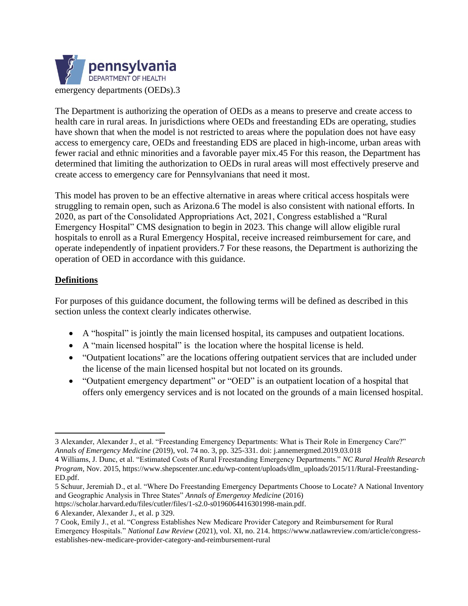

The Department is authorizing the operation of OEDs as a means to preserve and create access to health care in rural areas. In jurisdictions where OEDs and freestanding EDs are operating, studies have shown that when the model is not restricted to areas where the population does not have easy access to emergency care, OEDs and freestanding EDS are placed in high-income, urban areas with fewer racial and ethnic minorities and a favorable payer mix.45 For this reason, the Department has determined that limiting the authorization to OEDs in rural areas will most effectively preserve and create access to emergency care for Pennsylvanians that need it most.

This model has proven to be an effective alternative in areas where critical access hospitals were struggling to remain open, such as Arizona.6 The model is also consistent with national efforts. In 2020, as part of the Consolidated Appropriations Act, 2021, Congress established a "Rural Emergency Hospital" CMS designation to begin in 2023. This change will allow eligible rural hospitals to enroll as a Rural Emergency Hospital, receive increased reimbursement for care, and operate independently of inpatient providers.7 For these reasons, the Department is authorizing the operation of OED in accordance with this guidance.

## **Definitions**

For purposes of this guidance document, the following terms will be defined as described in this section unless the context clearly indicates otherwise.

- A "hospital" is jointly the main licensed hospital, its campuses and outpatient locations.
- A "main licensed hospital" is the location where the hospital license is held.
- "Outpatient locations" are the locations offering outpatient services that are included under the license of the main licensed hospital but not located on its grounds.
- "Outpatient emergency department" or "OED" is an outpatient location of a hospital that offers only emergency services and is not located on the grounds of a main licensed hospital.

https://scholar.harvard.edu/files/cutler/files/1-s2.0-s0196064416301998-main.pdf.

<sup>3</sup> Alexander, Alexander J., et al. "Freestanding Emergency Departments: What is Their Role in Emergency Care?" *Annals of Emergency Medicine* (2019), vol. 74 no. 3, pp. 325-331. doi: j.annemergmed.2019.03.018

<sup>4</sup> Williams, J. Dunc, et al. "Estimated Costs of Rural Freestanding Emergency Departments." *NC Rural Health Research Program*, Nov. 2015, https://www.shepscenter.unc.edu/wp-content/uploads/dlm\_uploads/2015/11/Rural-Freestanding-ED.pdf.

<sup>5</sup> Schuur, Jeremiah D., et al. "Where Do Freestanding Emergency Departments Choose to Locate? A National Inventory and Geographic Analysis in Three States" *Annals of Emergenxy Medicine* (2016)

<sup>6</sup> Alexander, Alexander J., et al. p 329.

<sup>7</sup> Cook, Emily J., et al. "Congress Establishes New Medicare Provider Category and Reimbursement for Rural Emergency Hospitals." *National Law Review* (2021), vol. XI, no. 214. https://www.natlawreview.com/article/congressestablishes-new-medicare-provider-category-and-reimbursement-rural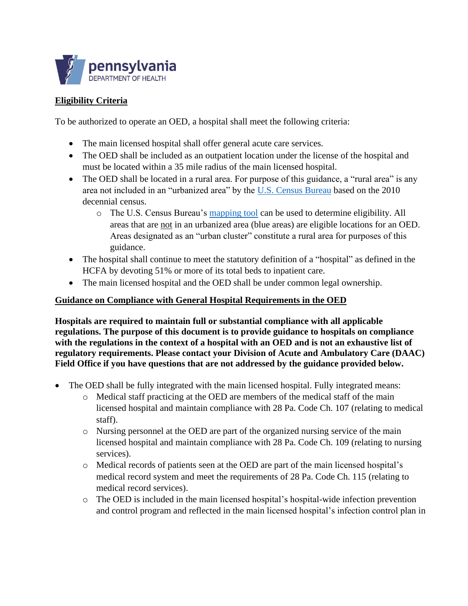

# **Eligibility Criteria**

To be authorized to operate an OED, a hospital shall meet the following criteria:

- The main licensed hospital shall offer general acute care services.
- The OED shall be included as an outpatient location under the license of the hospital and must be located within a 35 mile radius of the main licensed hospital.
- The OED shall be located in a rural area. For purpose of this guidance, a "rural area" is any area not included in an "urbanized area" by the [U.S. Census Bureau](https://www.census.gov/programs-surveys/geography/guidance/geo-areas/urban-rural.html#:~:text=%E2%80%9CRural%E2%80%9D%20encompasses%20all%20population%2C,included%20within%20an%20urban%20area.) based on the 2010 decennial census.
	- o The U.S. Census Bureau's [mapping tool](https://tigerweb.geo.census.gov/tigerweb2020/) can be used to determine eligibility. All areas that are not in an urbanized area (blue areas) are eligible locations for an OED. Areas designated as an "urban cluster" constitute a rural area for purposes of this guidance.
- The hospital shall continue to meet the statutory definition of a "hospital" as defined in the HCFA by devoting 51% or more of its total beds to inpatient care.
- The main licensed hospital and the OED shall be under common legal ownership.

### **Guidance on Compliance with General Hospital Requirements in the OED**

**Hospitals are required to maintain full or substantial compliance with all applicable regulations. The purpose of this document is to provide guidance to hospitals on compliance with the regulations in the context of a hospital with an OED and is not an exhaustive list of regulatory requirements. Please contact your Division of Acute and Ambulatory Care (DAAC) Field Office if you have questions that are not addressed by the guidance provided below.** 

- The OED shall be fully integrated with the main licensed hospital. Fully integrated means:
	- o Medical staff practicing at the OED are members of the medical staff of the main licensed hospital and maintain compliance with 28 Pa. Code Ch. 107 (relating to medical staff).
	- o Nursing personnel at the OED are part of the organized nursing service of the main licensed hospital and maintain compliance with 28 Pa. Code Ch. 109 (relating to nursing services).
	- o Medical records of patients seen at the OED are part of the main licensed hospital's medical record system and meet the requirements of 28 Pa. Code Ch. 115 (relating to medical record services).
	- o The OED is included in the main licensed hospital's hospital-wide infection prevention and control program and reflected in the main licensed hospital's infection control plan in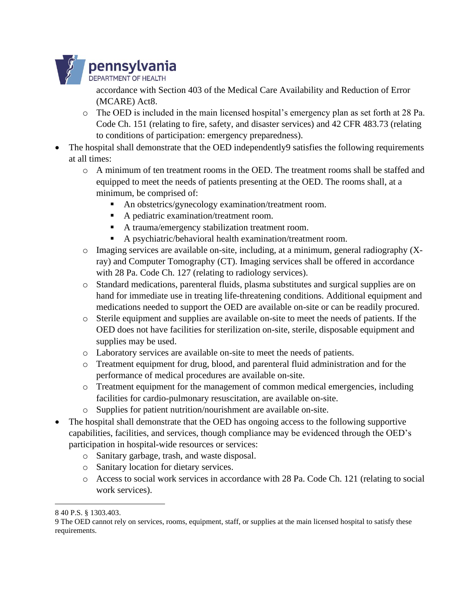

accordance with Section 403 of the Medical Care Availability and Reduction of Error (MCARE) Act8.

- o The OED is included in the main licensed hospital's emergency plan as set forth at 28 Pa. Code Ch. 151 (relating to fire, safety, and disaster services) and 42 CFR 483.73 (relating to conditions of participation: emergency preparedness).
- The hospital shall demonstrate that the OED independently9 satisfies the following requirements at all times:
	- o A minimum of ten treatment rooms in the OED. The treatment rooms shall be staffed and equipped to meet the needs of patients presenting at the OED. The rooms shall, at a minimum, be comprised of:
		- An obstetrics/gynecology examination/treatment room.
		- A pediatric examination/treatment room.
		- A trauma/emergency stabilization treatment room.
		- A psychiatric/behavioral health examination/treatment room.
	- o Imaging services are available on-site, including, at a minimum, general radiography (Xray) and Computer Tomography (CT). Imaging services shall be offered in accordance with 28 Pa. Code Ch. 127 (relating to radiology services).
	- o Standard medications, parenteral fluids, plasma substitutes and surgical supplies are on hand for immediate use in treating life-threatening conditions. Additional equipment and medications needed to support the OED are available on-site or can be readily procured.
	- o Sterile equipment and supplies are available on-site to meet the needs of patients. If the OED does not have facilities for sterilization on-site, sterile, disposable equipment and supplies may be used.
	- o Laboratory services are available on-site to meet the needs of patients.
	- o Treatment equipment for drug, blood, and parenteral fluid administration and for the performance of medical procedures are available on-site.
	- o Treatment equipment for the management of common medical emergencies, including facilities for cardio-pulmonary resuscitation, are available on-site.
	- o Supplies for patient nutrition/nourishment are available on-site.
- The hospital shall demonstrate that the OED has ongoing access to the following supportive capabilities, facilities, and services, though compliance may be evidenced through the OED's participation in hospital-wide resources or services:
	- o Sanitary garbage, trash, and waste disposal.
	- o Sanitary location for dietary services.
	- o Access to social work services in accordance with 28 Pa. Code Ch. 121 (relating to social work services).

<sup>8</sup> 40 P.S. § 1303.403.

<sup>9</sup> The OED cannot rely on services, rooms, equipment, staff, or supplies at the main licensed hospital to satisfy these requirements.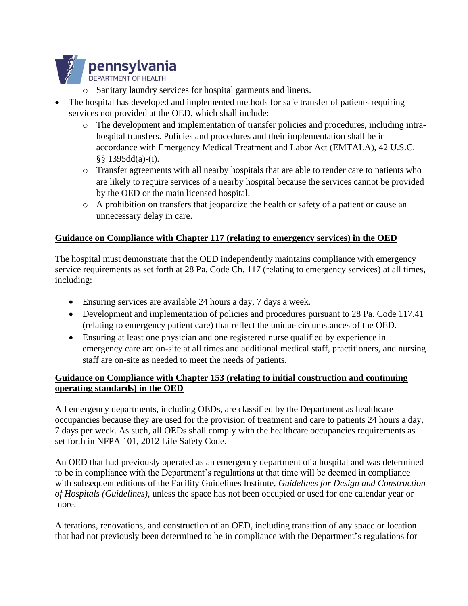

- o Sanitary laundry services for hospital garments and linens.
- The hospital has developed and implemented methods for safe transfer of patients requiring services not provided at the OED, which shall include:
	- o The development and implementation of transfer policies and procedures, including intrahospital transfers. Policies and procedures and their implementation shall be in accordance with Emergency Medical Treatment and Labor Act (EMTALA), 42 U.S.C. §§ 1395dd(a)-(i).
	- o Transfer agreements with all nearby hospitals that are able to render care to patients who are likely to require services of a nearby hospital because the services cannot be provided by the OED or the main licensed hospital.
	- o A prohibition on transfers that jeopardize the health or safety of a patient or cause an unnecessary delay in care.

#### **Guidance on Compliance with Chapter 117 (relating to emergency services) in the OED**

The hospital must demonstrate that the OED independently maintains compliance with emergency service requirements as set forth at 28 Pa. Code Ch. 117 (relating to emergency services) at all times, including:

- Ensuring services are available 24 hours a day, 7 days a week.
- Development and implementation of policies and procedures pursuant to 28 Pa. Code 117.41 (relating to emergency patient care) that reflect the unique circumstances of the OED.
- Ensuring at least one physician and one registered nurse qualified by experience in emergency care are on-site at all times and additional medical staff, practitioners, and nursing staff are on-site as needed to meet the needs of patients.

## **Guidance on Compliance with Chapter 153 (relating to initial construction and continuing operating standards) in the OED**

All emergency departments, including OEDs, are classified by the Department as healthcare occupancies because they are used for the provision of treatment and care to patients 24 hours a day, 7 days per week. As such, all OEDs shall comply with the healthcare occupancies requirements as set forth in NFPA 101, 2012 Life Safety Code.

An OED that had previously operated as an emergency department of a hospital and was determined to be in compliance with the Department's regulations at that time will be deemed in compliance with subsequent editions of the Facility Guidelines Institute, *Guidelines for Design and Construction of Hospitals (Guidelines)*, unless the space has not been occupied or used for one calendar year or more.

Alterations, renovations, and construction of an OED, including transition of any space or location that had not previously been determined to be in compliance with the Department's regulations for